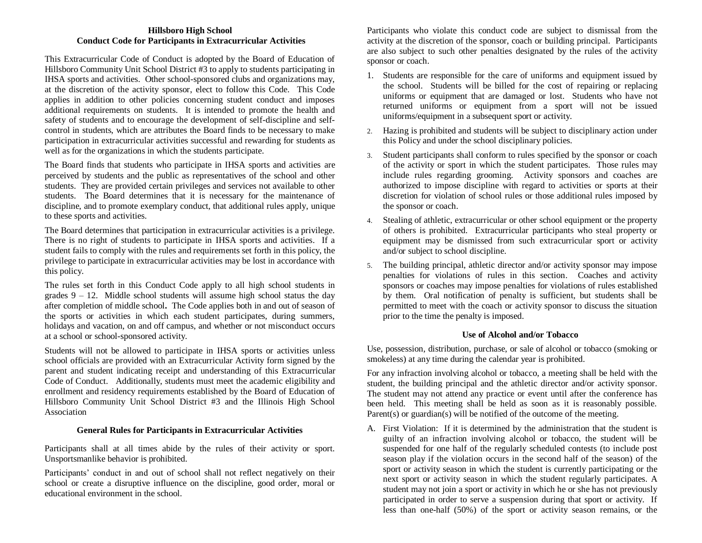## **Hillsboro High School Conduct Code for Participants in Extracurricular Activities**

This Extracurricular Code of Conduct is adopted by the Board of Education of Hillsboro Community Unit School District #3 to apply to students participating in IHSA sports and activities. Other school-sponsored clubs and organizations may, at the discretion of the activity sponsor, elect to follow this Code. This Code applies in addition to other policies concerning student conduct and imposes additional requirements on students. It is intended to promote the health and safety of students and to encourage the development of self-discipline and selfcontrol in students, which are attributes the Board finds to be necessary to make participation in extracurricular activities successful and rewarding for students as well as for the organizations in which the students participate.

The Board finds that students who participate in IHSA sports and activities are perceived by students and the public as representatives of the school and other students. They are provided certain privileges and services not available to other students. The Board determines that it is necessary for the maintenance of discipline, and to promote exemplary conduct, that additional rules apply, unique to these sports and activities.

The Board determines that participation in extracurricular activities is a privilege. There is no right of students to participate in IHSA sports and activities. If a student fails to comply with the rules and requirements set forth in this policy, the privilege to participate in extracurricular activities may be lost in accordance with this policy.

The rules set forth in this Conduct Code apply to all high school students in grades  $9 - 12$ . Middle school students will assume high school status the day after completion of middle school**.** The Code applies both in and out of season of the sports or activities in which each student participates, during summers, holidays and vacation, on and off campus, and whether or not misconduct occurs at a school or school-sponsored activity.

Students will not be allowed to participate in IHSA sports or activities unless school officials are provided with an Extracurricular Activity form signed by the parent and student indicating receipt and understanding of this Extracurricular Code of Conduct. Additionally, students must meet the academic eligibility and enrollment and residency requirements established by the Board of Education of Hillsboro Community Unit School District #3 and the Illinois High School Association

## **General Rules for Participants in Extracurricular Activities**

Participants shall at all times abide by the rules of their activity or sport. Unsportsmanlike behavior is prohibited.

Participants' conduct in and out of school shall not reflect negatively on their school or create a disruptive influence on the discipline, good order, moral or educational environment in the school.

Participants who violate this conduct code are subject to dismissal from the activity at the discretion of the sponsor, coach or building principal. Participants are also subject to such other penalties designated by the rules of the activity sponsor or coach.

- 1. Students are responsible for the care of uniforms and equipment issued by the school. Students will be billed for the cost of repairing or replacing uniforms or equipment that are damaged or lost. Students who have not returned uniforms or equipment from a sport will not be issued uniforms/equipment in a subsequent sport or activity.
- 2. Hazing is prohibited and students will be subject to disciplinary action under this Policy and under the school disciplinary policies.
- 3. Student participants shall conform to rules specified by the sponsor or coach of the activity or sport in which the student participates. Those rules may include rules regarding grooming. Activity sponsors and coaches are authorized to impose discipline with regard to activities or sports at their discretion for violation of school rules or those additional rules imposed by the sponsor or coach.
- 4. Stealing of athletic, extracurricular or other school equipment or the property of others is prohibited. Extracurricular participants who steal property or equipment may be dismissed from such extracurricular sport or activity and/or subject to school discipline.
- 5. The building principal, athletic director and/or activity sponsor may impose penalties for violations of rules in this section. Coaches and activity sponsors or coaches may impose penalties for violations of rules established by them. Oral notification of penalty is sufficient, but students shall be permitted to meet with the coach or activity sponsor to discuss the situation prior to the time the penalty is imposed.

## **Use of Alcohol and/or Tobacco**

Use, possession, distribution, purchase, or sale of alcohol or tobacco (smoking or smokeless) at any time during the calendar year is prohibited.

For any infraction involving alcohol or tobacco, a meeting shall be held with the student, the building principal and the athletic director and/or activity sponsor. The student may not attend any practice or event until after the conference has been held. This meeting shall be held as soon as it is reasonably possible. Parent(s) or guardian(s) will be notified of the outcome of the meeting.

A. First Violation: If it is determined by the administration that the student is guilty of an infraction involving alcohol or tobacco, the student will be suspended for one half of the regularly scheduled contests (to include post season play if the violation occurs in the second half of the season) of the sport or activity season in which the student is currently participating or the next sport or activity season in which the student regularly participates. A student may not join a sport or activity in which he or she has not previously participated in order to serve a suspension during that sport or activity. If less than one-half (50%) of the sport or activity season remains, or the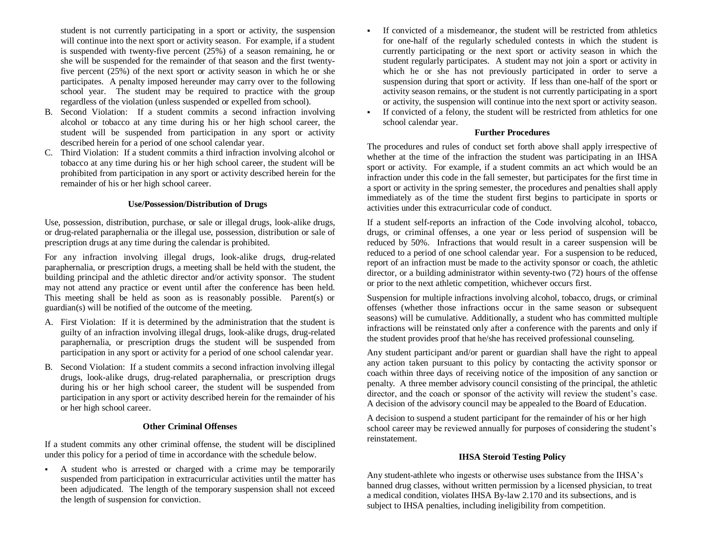student is not currently participating in a sport or activity, the suspension will continue into the next sport or activity season. For example, if a student is suspended with twenty-five percent (25%) of a season remaining, he or she will be suspended for the remainder of that season and the first twentyfive percent (25%) of the next sport or activity season in which he or she participates. A penalty imposed hereunder may carry over to the following school year. The student may be required to practice with the group regardless of the violation (unless suspended or expelled from school).

- B. Second Violation: If a student commits a second infraction involving alcohol or tobacco at any time during his or her high school career, the student will be suspended from participation in any sport or activity described herein for a period of one school calendar year.
- C. Third Violation: If a student commits a third infraction involving alcohol or tobacco at any time during his or her high school career, the student will be prohibited from participation in any sport or activity described herein for the remainder of his or her high school career.

## **Use/Possession/Distribution of Drugs**

Use, possession, distribution, purchase, or sale or illegal drugs, look-alike drugs, or drug-related paraphernalia or the illegal use, possession, distribution or sale of prescription drugs at any time during the calendar is prohibited.

For any infraction involving illegal drugs, look-alike drugs, drug-related paraphernalia, or prescription drugs, a meeting shall be held with the student, the building principal and the athletic director and/or activity sponsor. The student may not attend any practice or event until after the conference has been held. This meeting shall be held as soon as is reasonably possible. Parent(s) or guardian(s) will be notified of the outcome of the meeting.

- A. First Violation: If it is determined by the administration that the student is guilty of an infraction involving illegal drugs, look-alike drugs, drug-related paraphernalia, or prescription drugs the student will be suspended from participation in any sport or activity for a period of one school calendar year.
- B. Second Violation: If a student commits a second infraction involving illegal drugs, look-alike drugs, drug-related paraphernalia, or prescription drugs during his or her high school career, the student will be suspended from participation in any sport or activity described herein for the remainder of his or her high school career.

## **Other Criminal Offenses**

If a student commits any other criminal offense, the student will be disciplined under this policy for a period of time in accordance with the schedule below.

 A student who is arrested or charged with a crime may be temporarily suspended from participation in extracurricular activities until the matter has been adjudicated. The length of the temporary suspension shall not exceed the length of suspension for conviction.

- If convicted of a misdemeanor, the student will be restricted from athletics for one-half of the regularly scheduled contests in which the student is currently participating or the next sport or activity season in which the student regularly participates. A student may not join a sport or activity in which he or she has not previously participated in order to serve a suspension during that sport or activity. If less than one-half of the sport or activity season remains, or the student is not currently participating in a sport or activity, the suspension will continue into the next sport or activity season.
- If convicted of a felony, the student will be restricted from athletics for one school calendar year.

## **Further Procedures**

The procedures and rules of conduct set forth above shall apply irrespective of whether at the time of the infraction the student was participating in an IHSA sport or activity. For example, if a student commits an act which would be an infraction under this code in the fall semester, but participates for the first time in a sport or activity in the spring semester, the procedures and penalties shall apply immediately as of the time the student first begins to participate in sports or activities under this extracurricular code of conduct.

If a student self-reports an infraction of the Code involving alcohol, tobacco, drugs, or criminal offenses, a one year or less period of suspension will be reduced by 50%. Infractions that would result in a career suspension will be reduced to a period of one school calendar year. For a suspension to be reduced, report of an infraction must be made to the activity sponsor or coach, the athletic director, or a building administrator within seventy-two (72) hours of the offense or prior to the next athletic competition, whichever occurs first.

Suspension for multiple infractions involving alcohol, tobacco, drugs, or criminal offenses (whether those infractions occur in the same season or subsequent seasons) will be cumulative. Additionally, a student who has committed multiple infractions will be reinstated only after a conference with the parents and only if the student provides proof that he/she has received professional counseling.

Any student participant and/or parent or guardian shall have the right to appeal any action taken pursuant to this policy by contacting the activity sponsor or coach within three days of receiving notice of the imposition of any sanction or penalty. A three member advisory council consisting of the principal, the athletic director, and the coach or sponsor of the activity will review the student's case. A decision of the advisory council may be appealed to the Board of Education.

A decision to suspend a student participant for the remainder of his or her high school career may be reviewed annually for purposes of considering the student's reinstatement.

## **IHSA Steroid Testing Policy**

Any student-athlete who ingests or otherwise uses substance from the IHSA's banned drug classes, without written permission by a licensed physician, to treat a medical condition, violates IHSA By-law 2.170 and its subsections, and is subject to IHSA penalties, including ineligibility from competition.